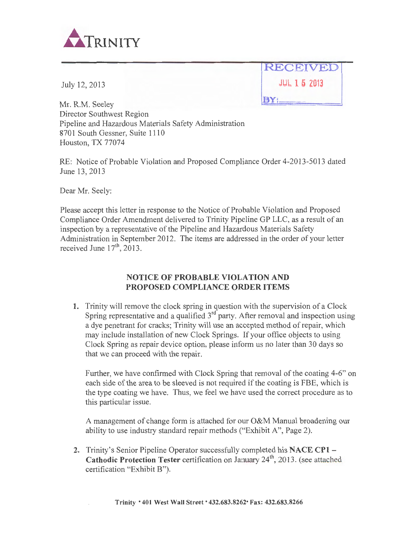

July 12, 2013

RECEIVED JU6 1 5 2013 BY:

Mr. R.M. Seeley Director Southwest Region Pipeline and Hazardous Materials Safety Administration 8701 South Gessner, Suite 1110 Houston, TX 77074

RE: Notice of Probable Violation and Proposed Compliance Order 4-2013-5013 dated June 13, 2013

Dear Mr. Seely:

Please accept this letter in response to the Notice of Probable Violation and Proposed Compliance Order Amendment delivered to Trinity Pipeline GP LLC, as a result of an inspection by a representative of the Pipeline and Hazardous Materials Safety Administration in September 2012. The items are addressed in the order of your letter received June  $17<sup>th</sup>$ , 2013.

## NOTICE OF PROBABLE VIOLATION AND PROPOSED COMPLIANCE ORDER ITEMS

1. Trinity will remove the clock spring in question with the supervision of a Clock Spring representative and a qualified  $3<sup>rd</sup>$  party. After removal and inspection using a dye penetrant for cracks; Trinity will use an accepted method of repair, which may include installation of new Clock Springs. If your office objects to using Clock Spring as repair device option, please inform us no later than 30 days so that we can proceed with the repair.

Further, we have confirmed with Clock Spring that removal of the coating 4-6" on each side of the area to be sleeved is not required if the coating is FBE, which is the type coating we have. Thus, we feel we have used the correct procedure as to this particular issue.

A management of change form is attached for our O&M Manual broadening our ability to use industry standard repair methods ("Exhibit A", Page 2).

2. Trinity's Senior Pipeline Operator successfully completed his NACE CP1 – Cathodic Protection Tester certification on January  $24<sup>th</sup>$ , 2013. (see attached certification "Exhibit B").